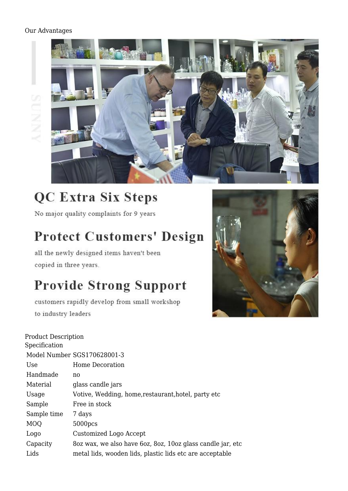#### Our Advantages



# **QC Extra Six Steps**

No major quality complaints for 9 years

## **Protect Customers' Design**

all the newly designed items haven't been copied in three years.

# **Provide Strong Support**

customers rapidly develop from small workshop to industry leaders



| <b>Product Description</b> |                                                            |
|----------------------------|------------------------------------------------------------|
| Specification              |                                                            |
|                            | Model Number SGS170628001-3                                |
| Use                        | Home Decoration                                            |
| Handmade                   | no                                                         |
| Material                   | glass candle jars                                          |
| Usage                      | Votive, Wedding, home, restaurant, hotel, party etc        |
| Sample                     | Free in stock                                              |
| Sample time                | 7 days                                                     |
| <b>MOQ</b>                 | 5000 <sub>pcs</sub>                                        |
| Logo                       | Customized Logo Accept                                     |
| Capacity                   | 80z wax, we also have 60z, 80z, 10oz glass candle jar, etc |
| Lids                       | metal lids, wooden lids, plastic lids etc are acceptable   |
|                            |                                                            |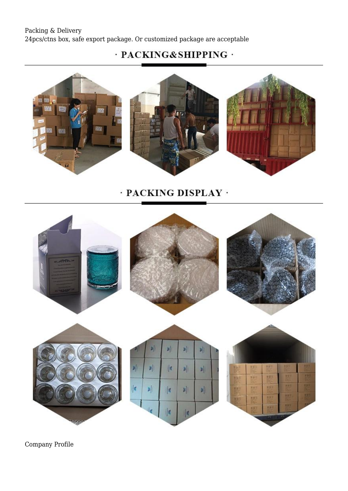Packing & Delivery 24pcs/ctns box, safe export package. Or customized package are acceptable

### · PACKING&SHIPPING ·



 $\cdot$  PACKING DISPLAY  $\cdot$ 



Company Profile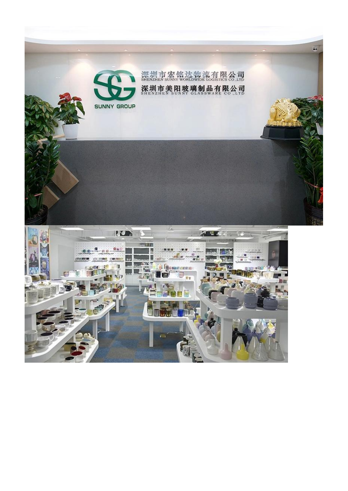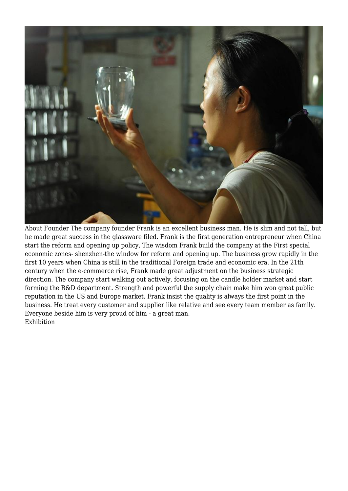

About Founder The company founder Frank is an excellent business man. He is slim and not tall, but he made great success in the glassware filed. Frank is the first generation entrepreneur when China start the reform and opening up policy, The wisdom Frank build the company at the First special economic zones- shenzhen-the window for reform and opening up. The business grow rapidly in the first 10 years when China is still in the traditional Foreign trade and economic era. In the 21th century when the e-commerce rise, Frank made great adjustment on the business strategic direction. The company start walking out actively, focusing on the candle holder market and start forming the R&D department. Strength and powerful the supply chain make him won great public reputation in the US and Europe market. Frank insist the quality is always the first point in the business. He treat every customer and supplier like relative and see every team member as family. Everyone beside him is very proud of him - a great man. Exhibition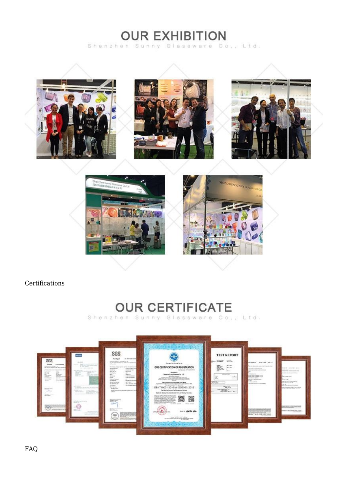### **OUR EXHIBITION**

Shenzhen Sunny Glassware Co., Ltd.





### **OUR CERTIFICATE**

Shenzhen Sunny Glassware Co., Ltd.